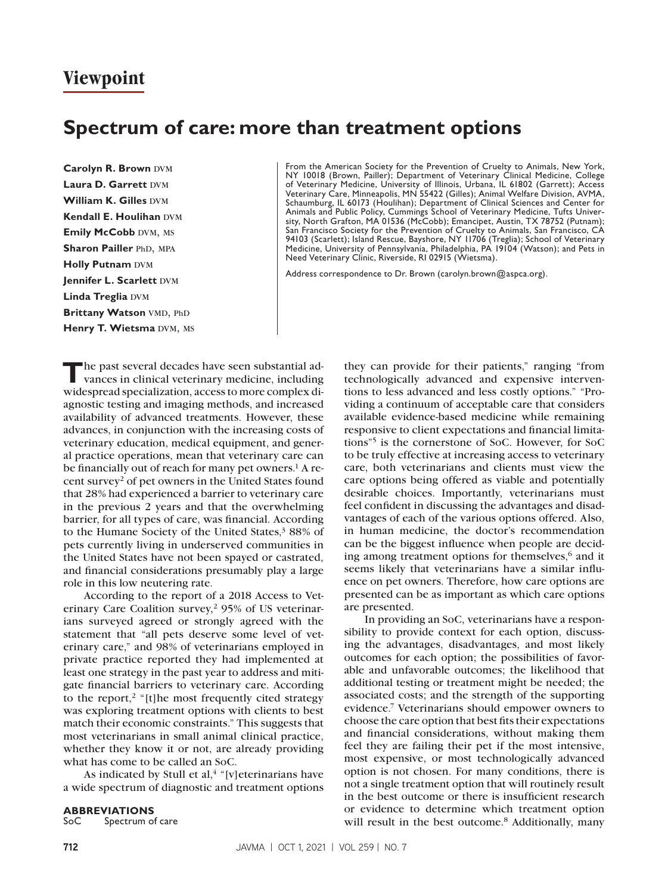# **Viewpoint**

# **Spectrum of care: more than treatment options**

**Carolyn R. Brown DVM Laura D. Garrett DVM William K. Gilles DVM Kendall E. Houlihan DVM Emily McCobb DVM, MS Sharon Pailler PhD, MPA Holly Putnam DVM Jennifer L. Scarlett DVM Linda Treglia DVM Brittany Watson VMD, PhD Henry T. Wietsma** DVM, MS From the American Society for the Prevention of Cruelty to Animals, New York, NY 10018 (Brown, Pailler); Department of Veterinary Clinical Medicine, College of Veterinary Medicine, University of Illinois, Urbana, IL 61802 (Garrett); Access Veterinary Care, Minneapolis, MN 55422 (Gilles); Animal Welfare Division, AVMA, Schaumburg, IL 60173 (Houlihan); Department of Clinical Sciences and Center for Animals and Public Policy, Cummings School of Veterinary Medicine, Tufts University, North Grafton, MA 01536 (McCobb); Emancipet, Austin, TX 78752 (Putnam); San Francisco Society for the Prevention of Cruelty to Animals, San Francisco, CA 94103 (Scarlett); Island Rescue, Bayshore, NY 11706 (Treglia); School of Veterinary Medicine, University of Pennsylvania, Philadelphia, PA 19104 (Watson); and Pets in Need Veterinary Clinic, Riverside, RI 02915 (Wietsma).

Address correspondence to Dr. Brown ([carolyn.brown@aspca.org](mailto:carolyn.brown@aspca.org)).

**T**he past several decades have seen substantial advances in clinical veterinary medicine, including widespread specialization, access to more complex diagnostic testing and imaging methods, and increased availability of advanced treatments. However, these advances, in conjunction with the increasing costs of veterinary education, medical equipment, and general practice operations, mean that veterinary care can be financially out of reach for many pet owners.<sup>1</sup> A recent survey2 of pet owners in the United States found that 28% had experienced a barrier to veterinary care in the previous 2 years and that the overwhelming barrier, for all types of care, was financial. According to the Humane Society of the United States, $38\%$  of pets currently living in underserved communities in the United States have not been spayed or castrated, and financial considerations presumably play a large role in this low neutering rate.

According to the report of a 2018 Access to Veterinary Care Coalition survey,<sup>2</sup> 95% of US veterinarians surveyed agreed or strongly agreed with the statement that "all pets deserve some level of veterinary care," and 98% of veterinarians employed in private practice reported they had implemented at least one strategy in the past year to address and mitigate financial barriers to veterinary care. According to the report, $2$  "[t]he most frequently cited strategy was exploring treatment options with clients to best match their economic constraints." This suggests that most veterinarians in small animal clinical practice, whether they know it or not, are already providing what has come to be called an SoC.

As indicated by Stull et al, $4$  "[v] eterinarians have a wide spectrum of diagnostic and treatment options

#### **ABBREVIATIONS**

SoC Spectrum of care

they can provide for their patients," ranging "from technologically advanced and expensive interventions to less advanced and less costly options." "Providing a continuum of acceptable care that considers available evidence-based medicine while remaining responsive to client expectations and financial limitations"5 is the cornerstone of SoC. However, for SoC to be truly effective at increasing access to veterinary care, both veterinarians and clients must view the care options being offered as viable and potentially desirable choices. Importantly, veterinarians must feel confident in discussing the advantages and disadvantages of each of the various options offered. Also, in human medicine, the doctor's recommendation can be the biggest influence when people are deciding among treatment options for themselves, $6$  and it seems likely that veterinarians have a similar influence on pet owners. Therefore, how care options are presented can be as important as which care options are presented.

In providing an SoC, veterinarians have a responsibility to provide context for each option, discussing the advantages, disadvantages, and most likely outcomes for each option; the possibilities of favorable and unfavorable outcomes; the likelihood that additional testing or treatment might be needed; the associated costs; and the strength of the supporting evidence.7 Veterinarians should empower owners to choose the care option that best fits their expectations and financial considerations, without making them feel they are failing their pet if the most intensive, most expensive, or most technologically advanced option is not chosen. For many conditions, there is not a single treatment option that will routinely result in the best outcome or there is insufficient research or evidence to determine which treatment option will result in the best outcome.<sup>8</sup> Additionally, many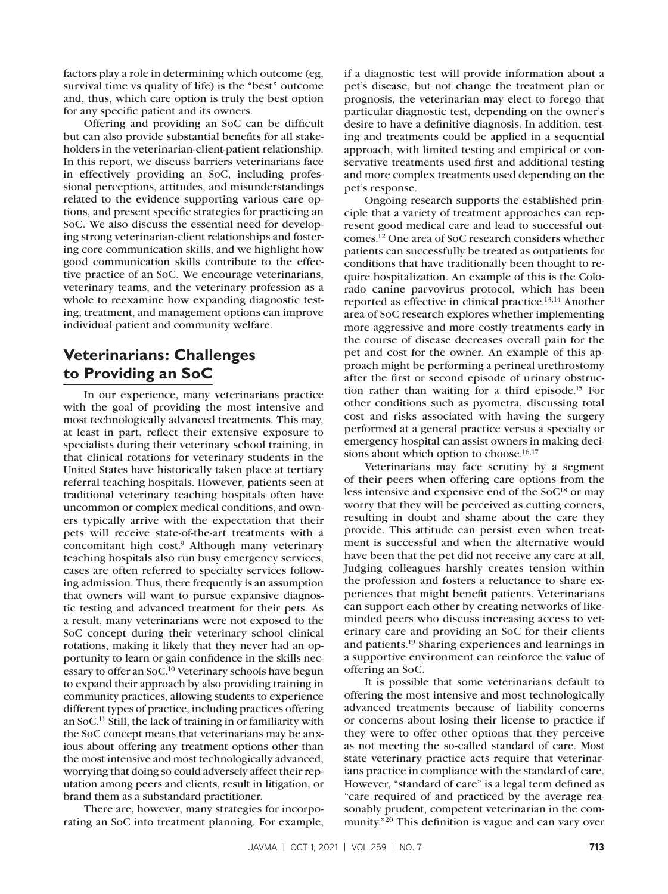factors play a role in determining which outcome (eg, survival time vs quality of life) is the "best" outcome and, thus, which care option is truly the best option for any specific patient and its owners.

Offering and providing an SoC can be difficult but can also provide substantial benefits for all stakeholders in the veterinarian-client-patient relationship. In this report, we discuss barriers veterinarians face in effectively providing an SoC, including professional perceptions, attitudes, and misunderstandings related to the evidence supporting various care options, and present specific strategies for practicing an SoC. We also discuss the essential need for developing strong veterinarian-client relationships and fostering core communication skills, and we highlight how good communication skills contribute to the effective practice of an SoC. We encourage veterinarians, veterinary teams, and the veterinary profession as a whole to reexamine how expanding diagnostic testing, treatment, and management options can improve individual patient and community welfare.

### **Veterinarians: Challenges to Providing an SoC**

In our experience, many veterinarians practice with the goal of providing the most intensive and most technologically advanced treatments. This may, at least in part, reflect their extensive exposure to specialists during their veterinary school training, in that clinical rotations for veterinary students in the United States have historically taken place at tertiary referral teaching hospitals. However, patients seen at traditional veterinary teaching hospitals often have uncommon or complex medical conditions, and owners typically arrive with the expectation that their pets will receive state-of-the-art treatments with a concomitant high cost.9 Although many veterinary teaching hospitals also run busy emergency services, cases are often referred to specialty services following admission. Thus, there frequently is an assumption that owners will want to pursue expansive diagnostic testing and advanced treatment for their pets. As a result, many veterinarians were not exposed to the SoC concept during their veterinary school clinical rotations, making it likely that they never had an opportunity to learn or gain confidence in the skills necessary to offer an SoC.10 Veterinary schools have begun to expand their approach by also providing training in community practices, allowing students to experience different types of practice, including practices offering an SoC.11 Still, the lack of training in or familiarity with the SoC concept means that veterinarians may be anxious about offering any treatment options other than the most intensive and most technologically advanced, worrying that doing so could adversely affect their reputation among peers and clients, result in litigation, or brand them as a substandard practitioner.

There are, however, many strategies for incorporating an SoC into treatment planning. For example,

if a diagnostic test will provide information about a pet's disease, but not change the treatment plan or prognosis, the veterinarian may elect to forego that particular diagnostic test, depending on the owner's desire to have a definitive diagnosis. In addition, testing and treatments could be applied in a sequential approach, with limited testing and empirical or conservative treatments used first and additional testing and more complex treatments used depending on the pet's response.

Ongoing research supports the established principle that a variety of treatment approaches can represent good medical care and lead to successful outcomes.12 One area of SoC research considers whether patients can successfully be treated as outpatients for conditions that have traditionally been thought to require hospitalization. An example of this is the Colorado canine parvovirus protocol, which has been reported as effective in clinical practice.13,14 Another area of SoC research explores whether implementing more aggressive and more costly treatments early in the course of disease decreases overall pain for the pet and cost for the owner. An example of this approach might be performing a perineal urethrostomy after the first or second episode of urinary obstruction rather than waiting for a third episode.15 For other conditions such as pyometra, discussing total cost and risks associated with having the surgery performed at a general practice versus a specialty or emergency hospital can assist owners in making decisions about which option to choose.<sup>16,17</sup>

Veterinarians may face scrutiny by a segment of their peers when offering care options from the less intensive and expensive end of the SoC<sup>18</sup> or may worry that they will be perceived as cutting corners, resulting in doubt and shame about the care they provide. This attitude can persist even when treatment is successful and when the alternative would have been that the pet did not receive any care at all. Judging colleagues harshly creates tension within the profession and fosters a reluctance to share experiences that might benefit patients. Veterinarians can support each other by creating networks of likeminded peers who discuss increasing access to veterinary care and providing an SoC for their clients and patients.19 Sharing experiences and learnings in a supportive environment can reinforce the value of offering an SoC.

It is possible that some veterinarians default to offering the most intensive and most technologically advanced treatments because of liability concerns or concerns about losing their license to practice if they were to offer other options that they perceive as not meeting the so-called standard of care. Most state veterinary practice acts require that veterinarians practice in compliance with the standard of care. However, "standard of care" is a legal term defined as "care required of and practiced by the average reasonably prudent, competent veterinarian in the community."20 This definition is vague and can vary over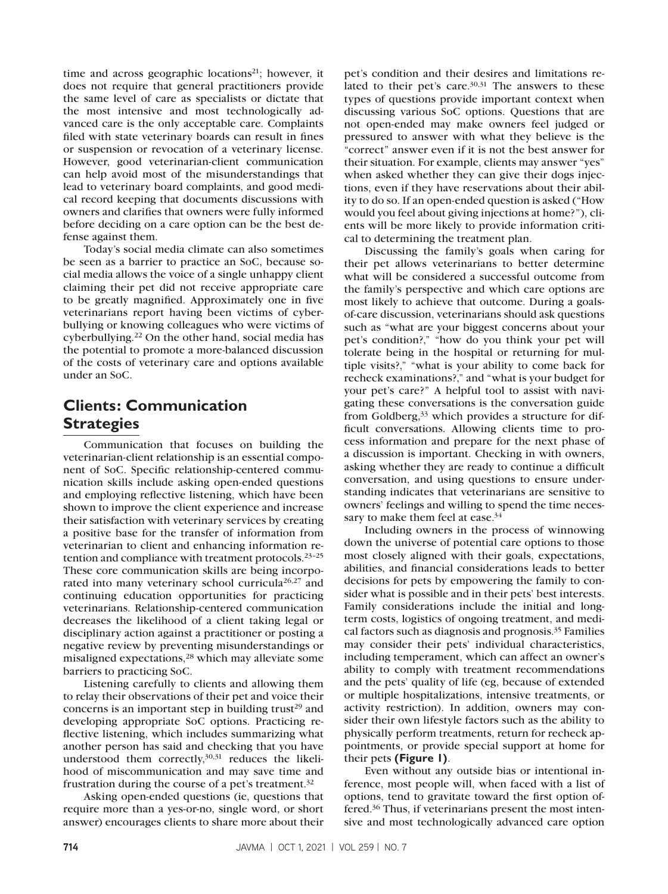time and across geographic locations $21$ ; however, it does not require that general practitioners provide the same level of care as specialists or dictate that the most intensive and most technologically advanced care is the only acceptable care. Complaints filed with state veterinary boards can result in fines or suspension or revocation of a veterinary license. However, good veterinarian-client communication can help avoid most of the misunderstandings that lead to veterinary board complaints, and good medical record keeping that documents discussions with owners and clarifies that owners were fully informed before deciding on a care option can be the best defense against them.

Today's social media climate can also sometimes be seen as a barrier to practice an SoC, because social media allows the voice of a single unhappy client claiming their pet did not receive appropriate care to be greatly magnified. Approximately one in five veterinarians report having been victims of cyberbullying or knowing colleagues who were victims of cyberbullying.22 On the other hand, social media has the potential to promote a more-balanced discussion of the costs of veterinary care and options available under an SoC.

## **Clients: Communication Strategies**

Communication that focuses on building the veterinarian-client relationship is an essential component of SoC. Specific relationship-centered communication skills include asking open-ended questions and employing reflective listening, which have been shown to improve the client experience and increase their satisfaction with veterinary services by creating a positive base for the transfer of information from veterinarian to client and enhancing information retention and compliance with treatment protocols.23–25 These core communication skills are being incorporated into many veterinary school curricula<sup>26,27</sup> and continuing education opportunities for practicing veterinarians. Relationship-centered communication decreases the likelihood of a client taking legal or disciplinary action against a practitioner or posting a negative review by preventing misunderstandings or misaligned expectations,<sup>28</sup> which may alleviate some barriers to practicing SoC.

Listening carefully to clients and allowing them to relay their observations of their pet and voice their concerns is an important step in building trust<sup>29</sup> and developing appropriate SoC options. Practicing reflective listening, which includes summarizing what another person has said and checking that you have understood them correctly, $30,31$  reduces the likelihood of miscommunication and may save time and frustration during the course of a pet's treatment.32

Asking open-ended questions (ie, questions that require more than a yes-or-no, single word, or short answer) encourages clients to share more about their

pet's condition and their desires and limitations related to their pet's care. $30,31$  The answers to these types of questions provide important context when discussing various SoC options. Questions that are not open-ended may make owners feel judged or pressured to answer with what they believe is the "correct" answer even if it is not the best answer for their situation. For example, clients may answer "yes" when asked whether they can give their dogs injections, even if they have reservations about their ability to do so. If an open-ended question is asked ("How would you feel about giving injections at home?"), clients will be more likely to provide information critical to determining the treatment plan.

Discussing the family's goals when caring for their pet allows veterinarians to better determine what will be considered a successful outcome from the family's perspective and which care options are most likely to achieve that outcome. During a goalsof-care discussion, veterinarians should ask questions such as "what are your biggest concerns about your pet's condition?," "how do you think your pet will tolerate being in the hospital or returning for multiple visits?," "what is your ability to come back for recheck examinations?," and "what is your budget for your pet's care?" A helpful tool to assist with navigating these conversations is the conversation guide from Goldberg,<sup>33</sup> which provides a structure for difficult conversations. Allowing clients time to process information and prepare for the next phase of a discussion is important. Checking in with owners, asking whether they are ready to continue a difficult conversation, and using questions to ensure understanding indicates that veterinarians are sensitive to owners' feelings and willing to spend the time necessary to make them feel at ease.<sup>34</sup>

Including owners in the process of winnowing down the universe of potential care options to those most closely aligned with their goals, expectations, abilities, and financial considerations leads to better decisions for pets by empowering the family to consider what is possible and in their pets' best interests. Family considerations include the initial and longterm costs, logistics of ongoing treatment, and medical factors such as diagnosis and prognosis.35 Families may consider their pets' individual characteristics, including temperament, which can affect an owner's ability to comply with treatment recommendations and the pets' quality of life (eg, because of extended or multiple hospitalizations, intensive treatments, or activity restriction). In addition, owners may consider their own lifestyle factors such as the ability to physically perform treatments, return for recheck appointments, or provide special support at home for their pets **(Figure 1)**.

Even without any outside bias or intentional inference, most people will, when faced with a list of options, tend to gravitate toward the first option offered.36 Thus, if veterinarians present the most intensive and most technologically advanced care option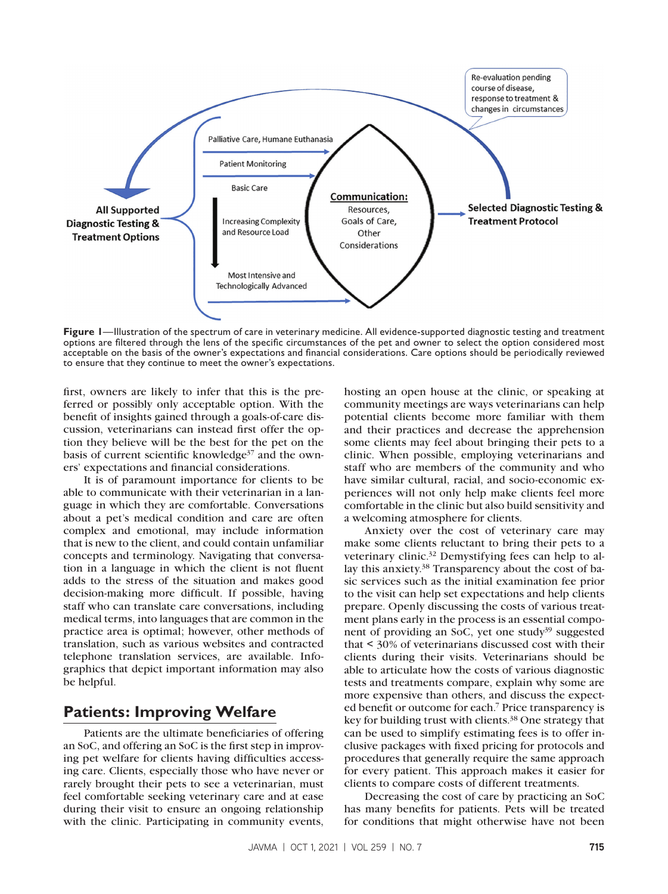

**Figure 1**—Illustration of the spectrum of care in veterinary medicine. All evidence-supported diagnostic testing and treatment options are filtered through the lens of the specific circumstances of the pet and owner to select the option considered most acceptable on the basis of the owner's expectations and financial considerations. Care options should be periodically reviewed to ensure that they continue to meet the owner's expectations.

first, owners are likely to infer that this is the preferred or possibly only acceptable option. With the benefit of insights gained through a goals-of-care discussion, veterinarians can instead first offer the option they believe will be the best for the pet on the basis of current scientific knowledge<sup>37</sup> and the owners' expectations and financial considerations.

It is of paramount importance for clients to be able to communicate with their veterinarian in a language in which they are comfortable. Conversations about a pet's medical condition and care are often complex and emotional, may include information that is new to the client, and could contain unfamiliar concepts and terminology. Navigating that conversation in a language in which the client is not fluent adds to the stress of the situation and makes good decision-making more difficult. If possible, having staff who can translate care conversations, including medical terms, into languages that are common in the practice area is optimal; however, other methods of translation, such as various websites and contracted telephone translation services, are available. Infographics that depict important information may also be helpful.

## **Patients: Improving Welfare**

Patients are the ultimate beneficiaries of offering an SoC, and offering an SoC is the first step in improving pet welfare for clients having difficulties accessing care. Clients, especially those who have never or rarely brought their pets to see a veterinarian, must feel comfortable seeking veterinary care and at ease during their visit to ensure an ongoing relationship with the clinic. Participating in community events,

hosting an open house at the clinic, or speaking at community meetings are ways veterinarians can help potential clients become more familiar with them and their practices and decrease the apprehension some clients may feel about bringing their pets to a clinic. When possible, employing veterinarians and staff who are members of the community and who have similar cultural, racial, and socio-economic experiences will not only help make clients feel more comfortable in the clinic but also build sensitivity and a welcoming atmosphere for clients.

Anxiety over the cost of veterinary care may make some clients reluctant to bring their pets to a veterinary clinic.32 Demystifying fees can help to allay this anxiety.38 Transparency about the cost of basic services such as the initial examination fee prior to the visit can help set expectations and help clients prepare. Openly discussing the costs of various treatment plans early in the process is an essential component of providing an SoC, yet one study $39$  suggested that < 30% of veterinarians discussed cost with their clients during their visits. Veterinarians should be able to articulate how the costs of various diagnostic tests and treatments compare, explain why some are more expensive than others, and discuss the expected benefit or outcome for each.7 Price transparency is key for building trust with clients.<sup>38</sup> One strategy that can be used to simplify estimating fees is to offer inclusive packages with fixed pricing for protocols and procedures that generally require the same approach for every patient. This approach makes it easier for clients to compare costs of different treatments.

Decreasing the cost of care by practicing an SoC has many benefits for patients. Pets will be treated for conditions that might otherwise have not been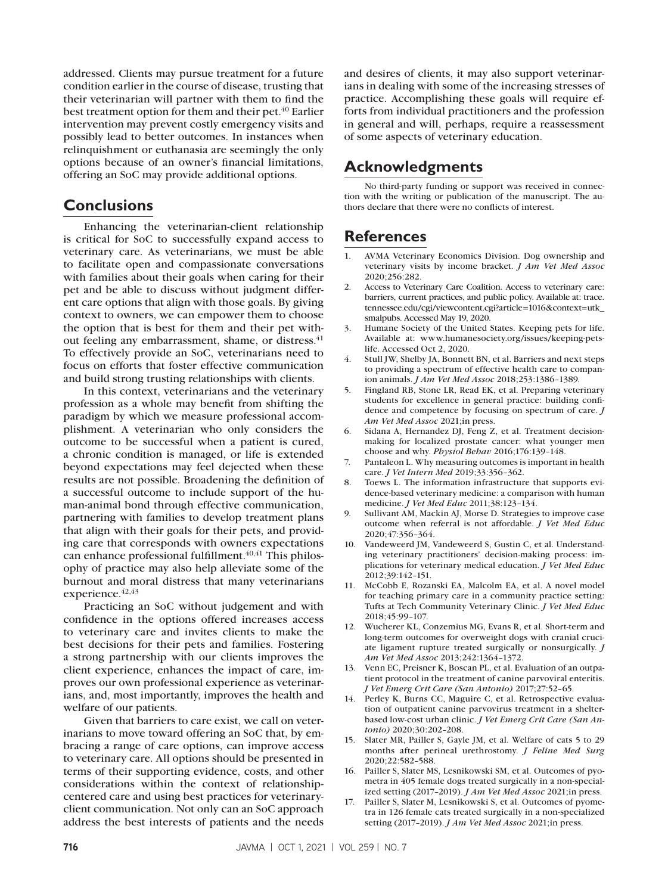addressed. Clients may pursue treatment for a future condition earlier in the course of disease, trusting that their veterinarian will partner with them to find the best treatment option for them and their pet.<sup>40</sup> Earlier intervention may prevent costly emergency visits and possibly lead to better outcomes. In instances when relinquishment or euthanasia are seemingly the only options because of an owner's financial limitations, offering an SoC may provide additional options.

### **Conclusions**

Enhancing the veterinarian-client relationship is critical for SoC to successfully expand access to veterinary care. As veterinarians, we must be able to facilitate open and compassionate conversations with families about their goals when caring for their pet and be able to discuss without judgment different care options that align with those goals. By giving context to owners, we can empower them to choose the option that is best for them and their pet without feeling any embarrassment, shame, or distress.<sup>41</sup> To effectively provide an SoC, veterinarians need to focus on efforts that foster effective communication and build strong trusting relationships with clients.

In this context, veterinarians and the veterinary profession as a whole may benefit from shifting the paradigm by which we measure professional accomplishment. A veterinarian who only considers the outcome to be successful when a patient is cured, a chronic condition is managed, or life is extended beyond expectations may feel dejected when these results are not possible. Broadening the definition of a successful outcome to include support of the human-animal bond through effective communication, partnering with families to develop treatment plans that align with their goals for their pets, and providing care that corresponds with owners expectations can enhance professional fulfillment.<sup>40,41</sup> This philosophy of practice may also help alleviate some of the burnout and moral distress that many veterinarians experience.  $42,43$ 

Practicing an SoC without judgement and with confidence in the options offered increases access to veterinary care and invites clients to make the best decisions for their pets and families. Fostering a strong partnership with our clients improves the client experience, enhances the impact of care, improves our own professional experience as veterinarians, and, most importantly, improves the health and welfare of our patients.

Given that barriers to care exist, we call on veterinarians to move toward offering an SoC that, by embracing a range of care options, can improve access to veterinary care. All options should be presented in terms of their supporting evidence, costs, and other considerations within the context of relationshipcentered care and using best practices for veterinaryclient communication. Not only can an SoC approach address the best interests of patients and the needs and desires of clients, it may also support veterinarians in dealing with some of the increasing stresses of practice. Accomplishing these goals will require efforts from individual practitioners and the profession in general and will, perhaps, require a reassessment of some aspects of veterinary education.

## **Acknowledgments**

No third-party funding or support was received in connection with the writing or publication of the manuscript. The authors declare that there were no conflicts of interest.

## **References**

- 1. AVMA Veterinary Economics Division. Dog ownership and veterinary visits by income bracket. *J Am Vet Med Assoc* 2020;256:282.
- 2. Access to Veterinary Care Coalition. Access to veterinary care: barriers, current practices, and public policy. Available at: trace. tennessee.edu/cgi/viewcontent.cgi?article=1016&context=utk\_ smalpubs. Accessed May 19, 2020.
- 3. Humane Society of the United States. Keeping pets for life. Available at: www.humanesociety.org/issues/keeping-petslife. Accessed Oct 2, 2020.
- 4. Stull JW, Shelby JA, Bonnett BN, et al. Barriers and next steps to providing a spectrum of effective health care to companion animals. *J Am Vet Med Assoc* 2018;253:1386–1389.
- 5. Fingland RB, Stone LR, Read EK, et al. Preparing veterinary students for excellence in general practice: building confidence and competence by focusing on spectrum of care. *J Am Vet Med Assoc* 2021;in press.
- 6. Sidana A, Hernandez DJ, Feng Z, et al. Treatment decisionmaking for localized prostate cancer: what younger men choose and why. *Physiol Behav* 2016;176:139–148.
- 7. Pantaleon L. Why measuring outcomes is important in health care. *J Vet Intern Med* 2019;33:356–362.
- Toews L. The information infrastructure that supports evidence-based veterinary medicine: a comparison with human medicine. *J Vet Med Educ* 2011;38:123–134.
- 9. Sullivant AM, Mackin AJ, Morse D. Strategies to improve case outcome when referral is not affordable. *J Vet Med Educ* 2020;47:356–364.
- 10. Vandeweerd JM, Vandeweerd S, Gustin C, et al. Understanding veterinary practitioners' decision-making process: implications for veterinary medical education. *J Vet Med Educ* 2012;39:142–151.
- 11. McCobb E, Rozanski EA, Malcolm EA, et al. A novel model for teaching primary care in a community practice setting: Tufts at Tech Community Veterinary Clinic. *J Vet Med Educ* 2018;45:99–107.
- 12. Wucherer KL, Conzemius MG, Evans R, et al. Short-term and long-term outcomes for overweight dogs with cranial cruciate ligament rupture treated surgically or nonsurgically. *J Am Vet Med Assoc* 2013;242:1364–1372.
- 13. Venn EC, Preisner K, Boscan PL, et al. Evaluation of an outpatient protocol in the treatment of canine parvoviral enteritis. *J Vet Emerg Crit Care (San Antonio)* 2017;27:52–65.
- 14. Perley K, Burns CC, Maguire C, et al. Retrospective evaluation of outpatient canine parvovirus treatment in a shelterbased low-cost urban clinic. *J Vet Emerg Crit Care (San Antonio)* 2020;30:202–208.
- 15. Slater MR, Pailler S, Gayle JM, et al. Welfare of cats 5 to 29 months after perineal urethrostomy. *J Feline Med Surg* 2020;22:582–588.
- 16. Pailler S, Slater MS, Lesnikowski SM, et al. Outcomes of pyometra in 405 female dogs treated surgically in a non-specialized setting (2017–2019). *J Am Vet Med Assoc* 2021;in press.
- 17. Pailler S, Slater M, Lesnikowski S, et al. Outcomes of pyometra in 126 female cats treated surgically in a non-specialized setting (2017–2019). *J Am Vet Med Assoc* 2021;in press.